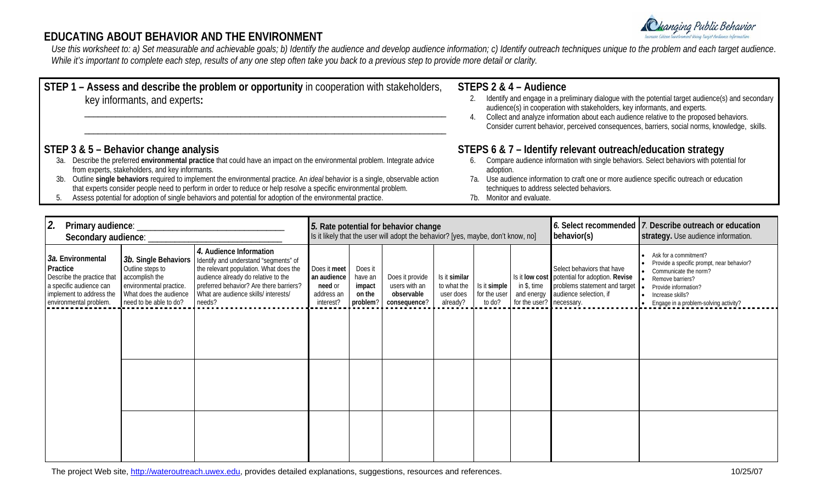

# **EDUCATING ABOUT BEHAVIOR AND THE ENVIRONMENT**

*Use this worksheet to: a) Set measurable and achievable goals; b) Identify the audience and develop audience information; c) Identify outreach techniques unique to the problem and each target audience*. *While it's important to complete each step, results of any one step often take you back to a previous step to provide more detail or clarity.* 

| STEP 1 – Assess and describe the problem or opportunity in cooperation with stakeholders,<br>key informants, and experts: | STEPS 2 & 4 - Audience<br>Identify and engage in a preliminary dialogue with the potential target audience(s) and secondary<br>audience(s) in cooperation with stakeholders, key informants, and experts.<br>Collect and analyze information about each audience relative to the proposed behaviors.<br>Consider current behavior, perceived consequences, barriers, social norms, knowledge, skills. |
|---------------------------------------------------------------------------------------------------------------------------|-------------------------------------------------------------------------------------------------------------------------------------------------------------------------------------------------------------------------------------------------------------------------------------------------------------------------------------------------------------------------------------------------------|
| STEP 3 & 5 – Behavior change analysis                                                                                     | STEPS 6 & 7 – Identify relevant outreach/education strategy                                                                                                                                                                                                                                                                                                                                           |

- 3a. Describe the preferred **environmental practice** that could have an impact on the environmental problem. Integrate advice from experts, stakeholders, and key informants.
- 3b. Outline **single behaviors** required to implement the environmental practice. An *ideal* behavior is a single, observable action that experts consider people need to perform in order to reduce or help resolve a specific environmental problem.
- 5. Assess potential for adoption of single behaviors and potential for adoption of the environmental practice.
- **STEPS 6 & 7 Identify relevant outreach/education strategy** 
	- 6. Compare audience information with single behaviors. Select behaviors with potential for adoption.
	- 7a. Use audience information to craft one or more audience specific outreach or education techniques to address selected behaviors.
	- 7b. Monitor and evaluate.

| 2.<br>Primary audience:<br>Secondary audience:                                                                                               |                                                                                                                                           |                                                                                                                                                                                                                                                | 5. Rate potential for behavior change<br>Is it likely that the user will adopt the behavior? [yes, maybe, don't know, no] |                                                    |                                                                |                                                       |                                        | behavior(s)                                           | 6. Select recommended 7. Describe outreach or education<br>strategy. Use audience information.                                         |                                                                                                                                                                                                                  |
|----------------------------------------------------------------------------------------------------------------------------------------------|-------------------------------------------------------------------------------------------------------------------------------------------|------------------------------------------------------------------------------------------------------------------------------------------------------------------------------------------------------------------------------------------------|---------------------------------------------------------------------------------------------------------------------------|----------------------------------------------------|----------------------------------------------------------------|-------------------------------------------------------|----------------------------------------|-------------------------------------------------------|----------------------------------------------------------------------------------------------------------------------------------------|------------------------------------------------------------------------------------------------------------------------------------------------------------------------------------------------------------------|
| 3a. Environmental<br>Practice<br>Describe the practice that<br>a specific audience can<br>implement to address the<br>environmental problem. | 3b. Single Behaviors<br>Outline steps to<br>accomplish the<br>environmental practice.<br>What does the audience<br>need to be able to do? | 4. Audience Information<br>Identify and understand "segments" of<br>the relevant population. What does the<br>audience already do relative to the<br>preferred behavior? Are there barriers?<br>What are audience skills/ interests/<br>needs? | Does it meet<br>an audience<br>need or<br>address an<br>interest?                                                         | Does it<br>have an<br>impact<br>on the<br>problem? | Does it provide<br>users with an<br>observable<br>consequence? | Is it similar<br>to what the<br>user does<br>already? | Is it simple<br>for the user<br>to do? | in \$, time<br>and energy<br>for the user? necessary. | Select behaviors that have<br>Is it low cost potential for adoption. Revise<br>problems statement and target<br>audience selection, if | • Ask for a commitment?<br>Provide a specific prompt, near behavior?<br>• Communicate the norm?<br>Remove barriers?<br>Provide information?<br>ь.<br>Increase skills?<br>• Engage in a problem-solving activity? |
|                                                                                                                                              |                                                                                                                                           |                                                                                                                                                                                                                                                |                                                                                                                           |                                                    |                                                                |                                                       |                                        |                                                       |                                                                                                                                        |                                                                                                                                                                                                                  |